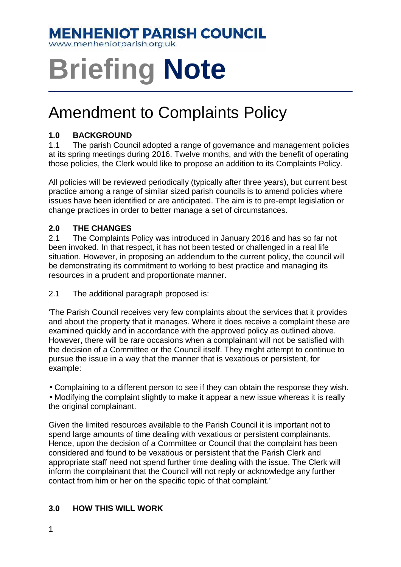# **MENHENIOT PARISH COUNCIL**

www.menheniotparish.org.uk

# **Briefing Note**

# Amendment to Complaints Policy

## **1.0 BACKGROUND**

1.1 The parish Council adopted a range of governance and management policies at its spring meetings during 2016. Twelve months, and with the benefit of operating those policies, the Clerk would like to propose an addition to its Complaints Policy.

All policies will be reviewed periodically (typically after three years), but current best practice among a range of similar sized parish councils is to amend policies where issues have been identified or are anticipated. The aim is to pre-empt legislation or change practices in order to better manage a set of circumstances.

## **2.0 THE CHANGES**

2.1 The Complaints Policy was introduced in January 2016 and has so far not been invoked. In that respect, it has not been tested or challenged in a real life situation. However, in proposing an addendum to the current policy, the council will be demonstrating its commitment to working to best practice and managing its resources in a prudent and proportionate manner.

2.1 The additional paragraph proposed is:

'The Parish Council receives very few complaints about the services that it provides and about the property that it manages. Where it does receive a complaint these are examined quickly and in accordance with the approved policy as outlined above. However, there will be rare occasions when a complainant will not be satisfied with the decision of a Committee or the Council itself. They might attempt to continue to pursue the issue in a way that the manner that is vexatious or persistent, for example:

• Complaining to a different person to see if they can obtain the response they wish.

• Modifying the complaint slightly to make it appear a new issue whereas it is really the original complainant.

Given the limited resources available to the Parish Council it is important not to spend large amounts of time dealing with vexatious or persistent complainants. Hence, upon the decision of a Committee or Council that the complaint has been considered and found to be vexatious or persistent that the Parish Clerk and appropriate staff need not spend further time dealing with the issue. The Clerk will inform the complainant that the Council will not reply or acknowledge any further contact from him or her on the specific topic of that complaint.'

#### **3.0 HOW THIS WILL WORK**